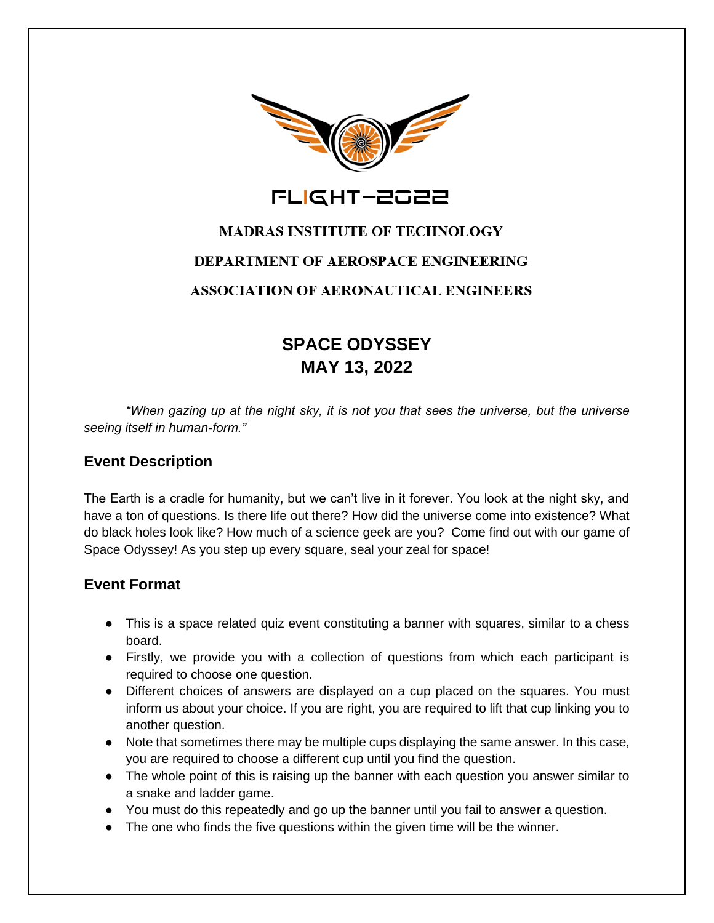

FLIGHT-2022

# **MADRAS INSTITUTE OF TECHNOLOGY DEPARTMENT OF AEROSPACE ENGINEERING ASSOCIATION OF AERONAUTICAL ENGINEERS**

## **SPACE ODYSSEY MAY 13, 2022**

*"When gazing up at the night sky, it is not you that sees the universe, but the universe seeing itself in human-form."* 

### **Event Description**

The Earth is a cradle for humanity, but we can't live in it forever. You look at the night sky, and have a ton of questions. Is there life out there? How did the universe come into existence? What do black holes look like? How much of a science geek are you? Come find out with our game of Space Odyssey! As you step up every square, seal your zeal for space!

#### **Event Format**

- This is a space related quiz event constituting a banner with squares, similar to a chess board.
- Firstly, we provide you with a collection of questions from which each participant is required to choose one question.
- Different choices of answers are displayed on a cup placed on the squares. You must inform us about your choice. If you are right, you are required to lift that cup linking you to another question.
- Note that sometimes there may be multiple cups displaying the same answer. In this case, you are required to choose a different cup until you find the question.
- The whole point of this is raising up the banner with each question you answer similar to a snake and ladder game.
- You must do this repeatedly and go up the banner until you fail to answer a question.
- The one who finds the five questions within the given time will be the winner.